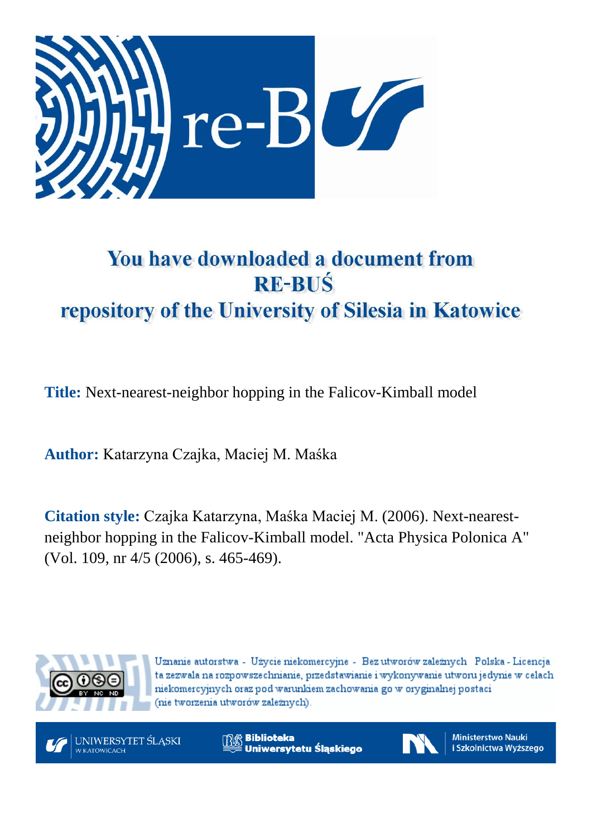

# You have downloaded a document from **RE-BUŚ** repository of the University of Silesia in Katowice

**Title:** Next-nearest-neighbor hopping in the Falicov-Kimball model

**Author:** Katarzyna Czajka, Maciej M. Maśka

**Citation style:** Czajka Katarzyna, Maśka Maciej M. (2006). Next-nearestneighbor hopping in the Falicov-Kimball model. "Acta Physica Polonica A" (Vol. 109, nr 4/5 (2006), s. 465-469).



Uznanie autorstwa - Użycie niekomercyjne - Bez utworów zależnych Polska - Licencja ta zezwala na rozpowszechnianie, przedstawianie i wykonywanie utworu jedynie w celach niekomercyjnych oraz pod warunkiem zachowania go w oryginalnej postaci (nie tworzenia utworów zależnych).



**Biblioteka** Uniwersytetu Śląskiego



**Ministerstwo Nauki** i Szkolnictwa Wyższego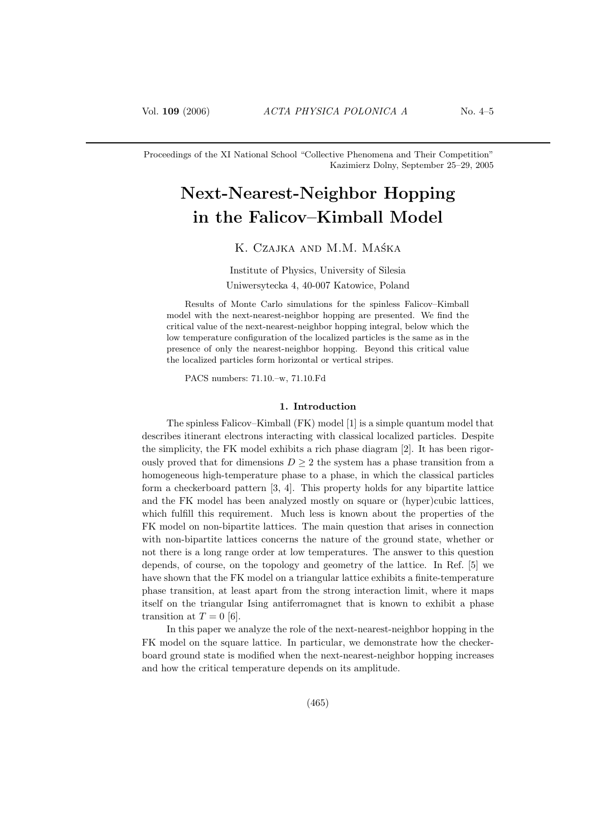Proceedings of the XI National School "Collective Phenomena and Their Competition" Kazimierz Dolny, September 25–29, 2005

# Next-Nearest-Neighbor Hopping in the Falicov–Kimball Model

# K. Czajka and M.M. Maśka

Institute of Physics, University of Silesia Uniwersytecka 4, 40-007 Katowice, Poland

Results of Monte Carlo simulations for the spinless Falicov–Kimball model with the next-nearest-neighbor hopping are presented. We find the critical value of the next-nearest-neighbor hopping integral, below which the low temperature configuration of the localized particles is the same as in the presence of only the nearest-neighbor hopping. Beyond this critical value the localized particles form horizontal or vertical stripes.

PACS numbers: 71.10.–w, 71.10.Fd

#### 1. Introduction

The spinless Falicov–Kimball (FK) model [1] is a simple quantum model that describes itinerant electrons interacting with classical localized particles. Despite the simplicity, the FK model exhibits a rich phase diagram [2]. It has been rigorously proved that for dimensions  $D \geq 2$  the system has a phase transition from a homogeneous high-temperature phase to a phase, in which the classical particles form a checkerboard pattern [3, 4]. This property holds for any bipartite lattice and the FK model has been analyzed mostly on square or (hyper)cubic lattices, which fulfill this requirement. Much less is known about the properties of the FK model on non-bipartite lattices. The main question that arises in connection with non-bipartite lattices concerns the nature of the ground state, whether or not there is a long range order at low temperatures. The answer to this question depends, of course, on the topology and geometry of the lattice. In Ref. [5] we have shown that the FK model on a triangular lattice exhibits a finite-temperature phase transition, at least apart from the strong interaction limit, where it maps itself on the triangular Ising antiferromagnet that is known to exhibit a phase transition at  $T = 0$  [6].

In this paper we analyze the role of the next-nearest-neighbor hopping in the FK model on the square lattice. In particular, we demonstrate how the checkerboard ground state is modified when the next-nearest-neighbor hopping increases and how the critical temperature depends on its amplitude.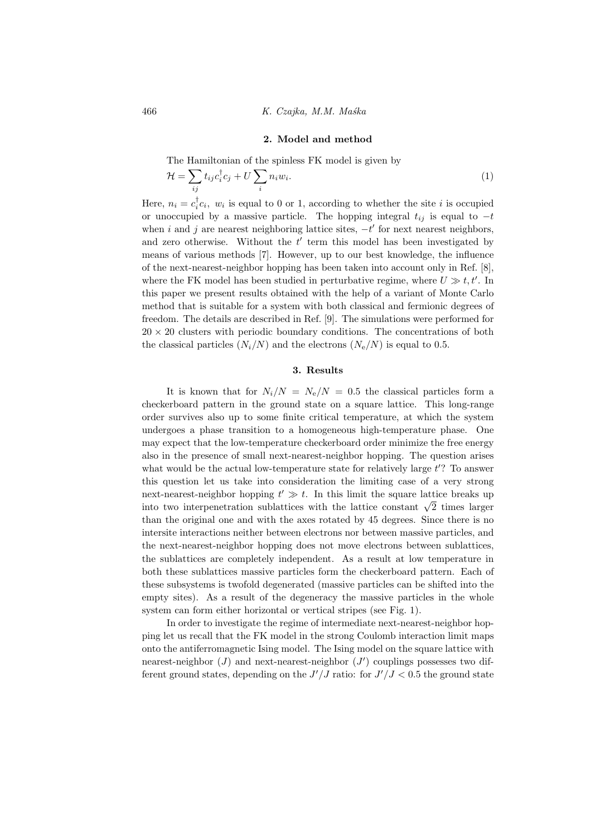#### 2. Model and method

The Hamiltonian of the spinless FK model is given by

$$
\mathcal{H} = \sum_{ij} t_{ij} c_i^{\dagger} c_j + U \sum_i n_i w_i. \tag{1}
$$

Here,  $n_i = c_i^{\dagger} c_i$ ,  $w_i$  is equal to 0 or 1, according to whether the site *i* is occupied or unoccupied by a massive particle. The hopping integral  $t_{ij}$  is equal to  $-t$ when i and j are nearest neighboring lattice sites,  $-t'$  for next nearest neighbors, and zero otherwise. Without the  $t'$  term this model has been investigated by means of various methods [7]. However, up to our best knowledge, the influence of the next-nearest-neighbor hopping has been taken into account only in Ref. [8], where the FK model has been studied in perturbative regime, where  $U \gg t, t'$ . In this paper we present results obtained with the help of a variant of Monte Carlo method that is suitable for a system with both classical and fermionic degrees of freedom. The details are described in Ref. [9]. The simulations were performed for  $20 \times 20$  clusters with periodic boundary conditions. The concentrations of both the classical particles  $(N_i/N)$  and the electrons  $(N_e/N)$  is equal to 0.5.

## 3. Results

It is known that for  $N_i/N = N_e/N = 0.5$  the classical particles form a checkerboard pattern in the ground state on a square lattice. This long-range order survives also up to some finite critical temperature, at which the system undergoes a phase transition to a homogeneous high-temperature phase. One may expect that the low-temperature checkerboard order minimize the free energy also in the presence of small next-nearest-neighbor hopping. The question arises what would be the actual low-temperature state for relatively large  $t$ ? To answer this question let us take into consideration the limiting case of a very strong next-nearest-neighbor hopping  $t' \gg t$ . In this limit the square lattice breaks up into two interpenetration sublattices with the lattice constant  $\sqrt{2}$  times larger than the original one and with the axes rotated by 45 degrees. Since there is no intersite interactions neither between electrons nor between massive particles, and the next-nearest-neighbor hopping does not move electrons between sublattices, the sublattices are completely independent. As a result at low temperature in both these sublattices massive particles form the checkerboard pattern. Each of these subsystems is twofold degenerated (massive particles can be shifted into the empty sites). As a result of the degeneracy the massive particles in the whole system can form either horizontal or vertical stripes (see Fig. 1).

In order to investigate the regime of intermediate next-nearest-neighbor hopping let us recall that the FK model in the strong Coulomb interaction limit maps onto the antiferromagnetic Ising model. The Ising model on the square lattice with nearest-neighbor  $(J)$  and next-nearest-neighbor  $(J')$  couplings possesses two different ground states, depending on the  $J'/J$  ratio: for  $J'/J < 0.5$  the ground state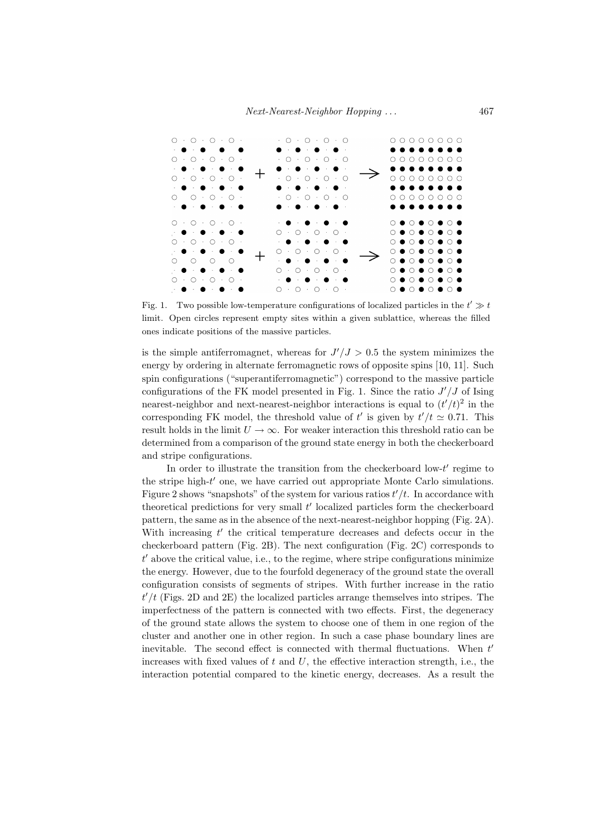

Fig. 1. Two possible low-temperature configurations of localized particles in the  $t' \gg t$ limit. Open circles represent empty sites within a given sublattice, whereas the filled ones indicate positions of the massive particles.

is the simple antiferromagnet, whereas for  $J'/J > 0.5$  the system minimizes the energy by ordering in alternate ferromagnetic rows of opposite spins [10, 11]. Such spin configurations ("superantiferromagnetic") correspond to the massive particle configurations of the FK model presented in Fig. 1. Since the ratio  $J'/J$  of Ising nearest-neighbor and next-nearest-neighbor interactions is equal to  $(t'/t)^2$  in the corresponding FK model, the threshold value of t' is given by  $t'/t \approx 0.71$ . This result holds in the limit  $U \to \infty$ . For weaker interaction this threshold ratio can be determined from a comparison of the ground state energy in both the checkerboard and stripe configurations.

In order to illustrate the transition from the checkerboard low- $t'$  regime to the stripe high- $t'$  one, we have carried out appropriate Monte Carlo simulations. Figure 2 shows "snapshots" of the system for various ratios  $t'/t$ . In accordance with theoretical predictions for very small  $t'$  localized particles form the checkerboard pattern, the same as in the absence of the next-nearest-neighbor hopping (Fig. 2A). With increasing  $t'$  the critical temperature decreases and defects occur in the checkerboard pattern (Fig. 2B). The next configuration (Fig. 2C) corresponds to  $t'$  above the critical value, i.e., to the regime, where stripe configurations minimize the energy. However, due to the fourfold degeneracy of the ground state the overall configuration consists of segments of stripes. With further increase in the ratio  $t'/t$  (Figs. 2D and 2E) the localized particles arrange themselves into stripes. The imperfectness of the pattern is connected with two effects. First, the degeneracy of the ground state allows the system to choose one of them in one region of the cluster and another one in other region. In such a case phase boundary lines are inevitable. The second effect is connected with thermal fluctuations. When  $t'$ increases with fixed values of  $t$  and  $U$ , the effective interaction strength, i.e., the interaction potential compared to the kinetic energy, decreases. As a result the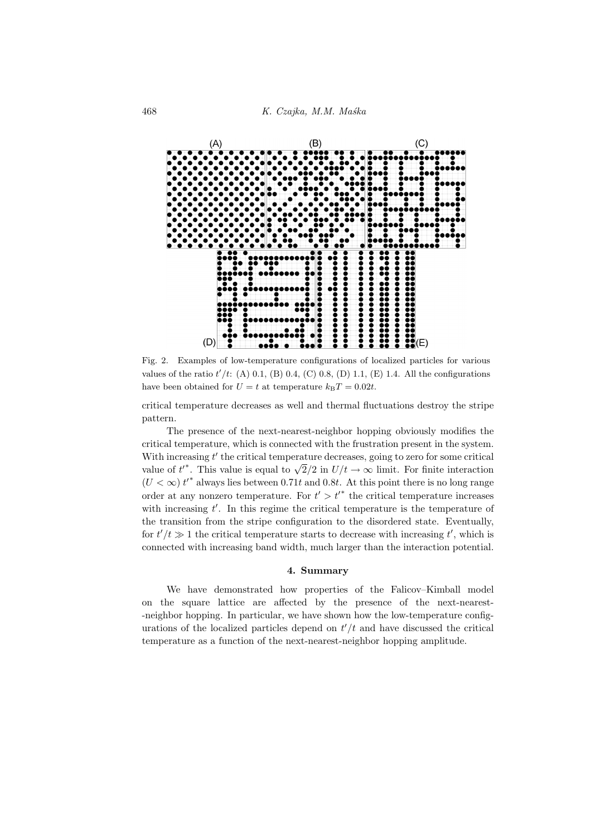

Fig. 2. Examples of low-temperature configurations of localized particles for various values of the ratio  $t'/t$ : (A) 0.1, (B) 0.4, (C) 0.8, (D) 1.1, (E) 1.4. All the configurations have been obtained for  $U = t$  at temperature  $k_BT = 0.02t$ .

critical temperature decreases as well and thermal fluctuations destroy the stripe pattern.

The presence of the next-nearest-neighbor hopping obviously modifies the critical temperature, which is connected with the frustration present in the system. With increasing  $t'$  the critical temperature decreases, going to zero for some critical with increasing t the critical temperature decreases, going to zero for some critical value of  $t^*$ . This value is equal to  $\sqrt{2}/2$  in  $U/t \to \infty$  limit. For finite interaction  $(U < \infty) t^*$  always lies between 0.71t and 0.8t. At this point there is no long range order at any nonzero temperature. For  $t' > t'$  the critical temperature increases with increasing  $t'$ . In this regime the critical temperature is the temperature of the transition from the stripe configuration to the disordered state. Eventually, for  $t'/t \gg 1$  the critical temperature starts to decrease with increasing  $t'$ , which is connected with increasing band width, much larger than the interaction potential.

#### 4. Summary

We have demonstrated how properties of the Falicov–Kimball model on the square lattice are affected by the presence of the next-nearest- -neighbor hopping. In particular, we have shown how the low-temperature configurations of the localized particles depend on  $t'/t$  and have discussed the critical temperature as a function of the next-nearest-neighbor hopping amplitude.